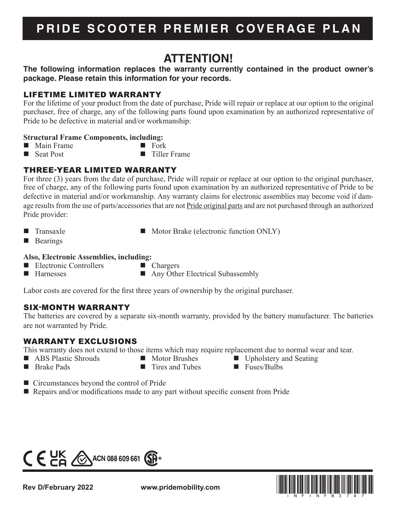# **PRIDE SCOOTER PREMIER COVERAGE PLAN**

# **ATTENTION!**

# **The following information replaces the warranty currently contained in the product owner's package. Please retain this information for your records.**

# LIFETIME LIMITED WARRANTY

For the lifetime of your product from the date of purchase, Pride will repair or replace at our option to the original purchaser, free of charge, any of the following parts found upon examination by an authorized representative of Pride to be defective in material and/or workmanship:

### **Structural Frame Components, including:**

- Main Frame Fork<br>■ Seat Post ■ Tiller
- 
- $\blacksquare$  Tiller Frame
- THREE-YEAR LIMITED WARRANTY

For three (3) years from the date of purchase, Pride will repair or replace at our option to the original purchaser, free of charge, any of the following parts found upon examination by an authorized representative of Pride to be defective in material and/or workmanship. Any warranty claims for electronic assemblies may become void if damage results from the use of parts/accessories that are not Pride original parts and are not purchased through an authorized Pride provider:

- 
- Transaxle Motor Brake (electronic function ONLY)
- **Bearings**

### **Also, Electronic Assemblies, including:**

- Electronic Controllers **Chargers**
- Harnesses Any Other Electrical Subassembly
- 
- Labor costs are covered for the first three years of ownership by the original purchaser.

# SIX-MONTH WARRANTY

The batteries are covered by a separate six-month warranty, provided by the battery manufacturer. The batteries are not warranted by Pride.

# WARRANTY EXCLUSIONS

This warranty does not extend to those items which may require replacement due to normal wear and tear.

- 
- 
- ABS Plastic Shrouds Motor Brushes Upholstery and Seating<br>
Rrake Pads Music Shrouds Tires and Tubes Intervalsed Euses/Bulbs
- **Brake Pads Fundal Fundal E** Tires and Tubes
	-
- 

- Circumstances beyond the control of Pride
- Repairs and/or modifications made to any part without specific consent from Pride